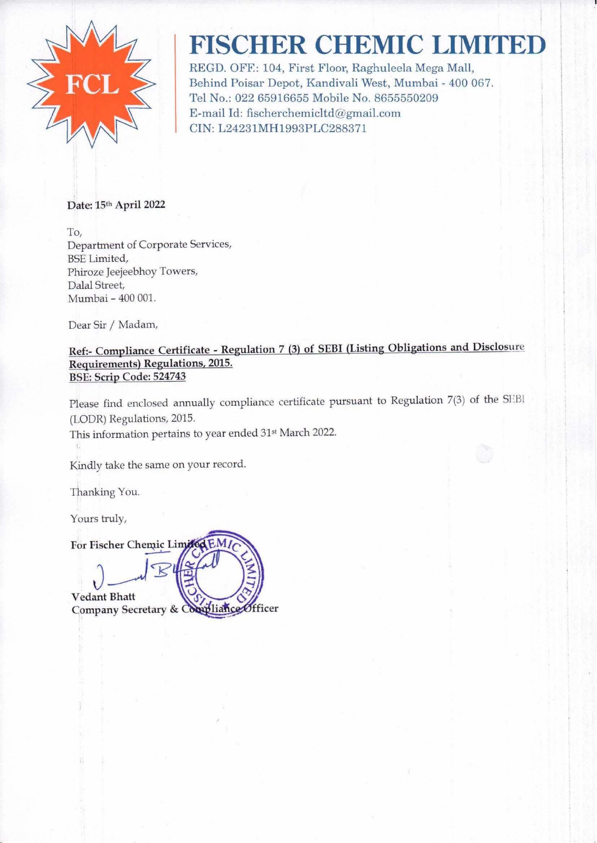

## **FISCHER CHEMIC LIMITED**

REGD. OFF.: 104, First Floor, Raghuleela Mega Mall, Behind Poisar Depot, Kandivali West, Mumbai - 400 067. Tel No.: 022 65916655 Mobile No. 8655550209 E-mail Id: fischerchemicltd@gmail.com CIN: L24231MH1993PLC288371

Date: 15th April 2022

To, Department of Corporate Services, BSE Limited, Phiroze Jeejeebhoy Towers, Dalal Street, Mumbai - 400 001.

Dear Sir / Madam,

Ref:- Compliance Certificate - Regulation 7 (3) of SEBI (Listing Obligations and Disclosure Requirements) Regulations, 2015. BSE: Scrip Code: 524743

Please find enclosed annually compliance certificate pursuant to Regulation 7(3) of the SEBI (LODR) Regulations, 2015.

This information pertains to year ended 31<sup>st</sup> March 2022.

Kindly take the same on your record.

Thanking You.

Yours truly,

For Fischer Chemic Limit

 $J_{\text{max}}$ Vedant Bhatt Company Secretary & Compliance Officer